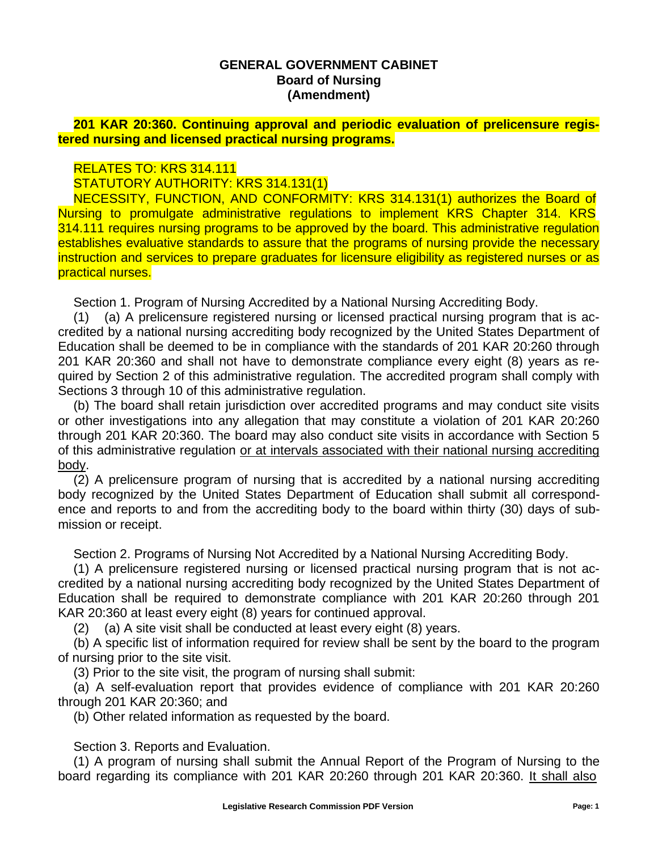## **GENERAL GOVERNMENT CABINET Board of Nursing (Amendment)**

**201 KAR 20:360. Continuing approval and periodic evaluation of prelicensure registered nursing and licensed practical nursing programs.**

## RELATES TO: KRS 314.111

STATUTORY AUTHORITY: KRS 314.131(1)

NECESSITY, FUNCTION, AND CONFORMITY: KRS 314.131(1) authorizes the Board of Nursing to promulgate administrative regulations to implement KRS Chapter 314. KRS 314.111 requires nursing programs to be approved by the board. This administrative regulation establishes evaluative standards to assure that the programs of nursing provide the necessary instruction and services to prepare graduates for licensure eligibility as registered nurses or as practical nurses.

Section 1. Program of Nursing Accredited by a National Nursing Accrediting Body.

(1) (a) A prelicensure registered nursing or licensed practical nursing program that is accredited by a national nursing accrediting body recognized by the United States Department of Education shall be deemed to be in compliance with the standards of 201 KAR 20:260 through 201 KAR 20:360 and shall not have to demonstrate compliance every eight (8) years as required by Section 2 of this administrative regulation. The accredited program shall comply with Sections 3 through 10 of this administrative regulation.

(b) The board shall retain jurisdiction over accredited programs and may conduct site visits or other investigations into any allegation that may constitute a violation of 201 KAR 20:260 through 201 KAR 20:360. The board may also conduct site visits in accordance with Section 5 of this administrative regulation or at intervals associated with their national nursing accrediting body.

(2) A prelicensure program of nursing that is accredited by a national nursing accrediting body recognized by the United States Department of Education shall submit all correspondence and reports to and from the accrediting body to the board within thirty (30) days of submission or receipt.

Section 2. Programs of Nursing Not Accredited by a National Nursing Accrediting Body.

(1) A prelicensure registered nursing or licensed practical nursing program that is not accredited by a national nursing accrediting body recognized by the United States Department of Education shall be required to demonstrate compliance with 201 KAR 20:260 through 201 KAR 20:360 at least every eight (8) years for continued approval.

(2) (a) A site visit shall be conducted at least every eight (8) years.

(b) A specific list of information required for review shall be sent by the board to the program of nursing prior to the site visit.

(3) Prior to the site visit, the program of nursing shall submit:

(a) A self-evaluation report that provides evidence of compliance with 201 KAR 20:260 through 201 KAR 20:360; and

(b) Other related information as requested by the board.

Section 3. Reports and Evaluation.

(1) A program of nursing shall submit the Annual Report of the Program of Nursing to the board regarding its compliance with 201 KAR 20:260 through 201 KAR 20:360. It shall also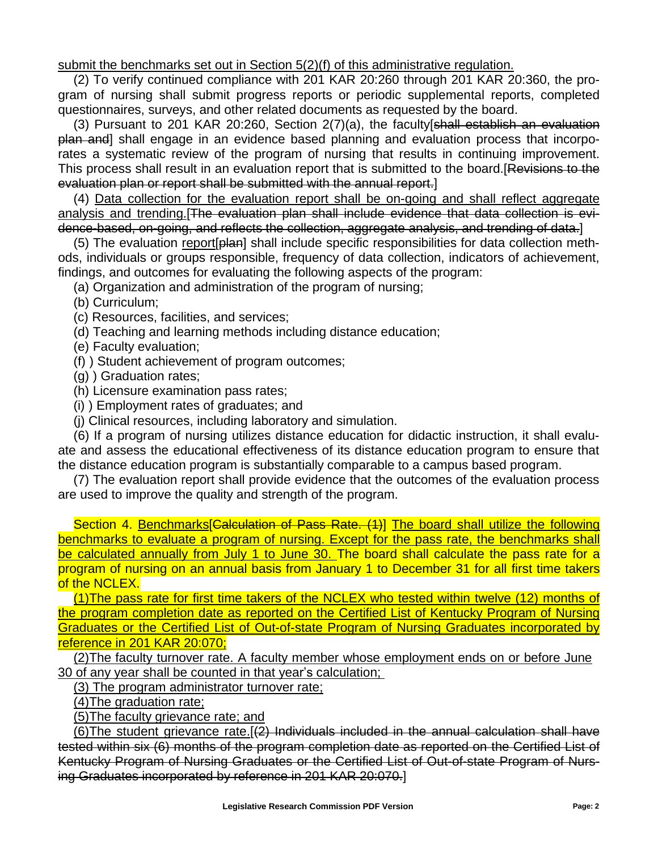submit the benchmarks set out in Section 5(2)(f) of this administrative regulation.

(2) To verify continued compliance with 201 KAR 20:260 through 201 KAR 20:360, the program of nursing shall submit progress reports or periodic supplemental reports, completed questionnaires, surveys, and other related documents as requested by the board.

(3) Pursuant to 201 KAR 20:260, Section 2(7)(a), the faculty[shall establish an evaluation plan and] shall engage in an evidence based planning and evaluation process that incorporates a systematic review of the program of nursing that results in continuing improvement. This process shall result in an evaluation report that is submitted to the board.[Revisions to the evaluation plan or report shall be submitted with the annual report.]

(4) Data collection for the evaluation report shall be on-going and shall reflect aggregate analysis and trending.[The evaluation plan shall include evidence that data collection is evidence-based, on-going, and reflects the collection, aggregate analysis, and trending of data.]

(5) The evaluation report[plan] shall include specific responsibilities for data collection methods, individuals or groups responsible, frequency of data collection, indicators of achievement, findings, and outcomes for evaluating the following aspects of the program:

(a) Organization and administration of the program of nursing;

(b) Curriculum;

(c) Resources, facilities, and services;

(d) Teaching and learning methods including distance education;

(e) Faculty evaluation;

(f) ) Student achievement of program outcomes;

(g) ) Graduation rates;

(h) Licensure examination pass rates;

(i) ) Employment rates of graduates; and

(j) Clinical resources, including laboratory and simulation.

(6) If a program of nursing utilizes distance education for didactic instruction, it shall evaluate and assess the educational effectiveness of its distance education program to ensure that the distance education program is substantially comparable to a campus based program.

(7) The evaluation report shall provide evidence that the outcomes of the evaluation process are used to improve the quality and strength of the program.

Section 4. Benchmarks Calculation of Pass Rate. (1) The board shall utilize the following benchmarks to evaluate a program of nursing. Except for the pass rate, the benchmarks shall be calculated annually from July 1 to June 30. The board shall calculate the pass rate for a program of nursing on an annual basis from January 1 to December 31 for all first time takers of the NCLEX.

(1)The pass rate for first time takers of the NCLEX who tested within twelve (12) months of the program completion date as reported on the Certified List of Kentucky Program of Nursing Graduates or the Certified List of Out-of-state Program of Nursing Graduates incorporated by reference in 201 KAR 20:070;

(2)The faculty turnover rate. A faculty member whose employment ends on or before June 30 of any year shall be counted in that year's calculation;

(3) The program administrator turnover rate;

(4)The graduation rate;

(5)The faculty grievance rate; and

(6) The student grievance rate.  $[2]$  Individuals included in the annual calculation shall have tested within six (6) months of the program completion date as reported on the Certified List of Kentucky Program of Nursing Graduates or the Certified List of Out-of-state Program of Nursing Graduates incorporated by reference in 201 KAR 20:070.]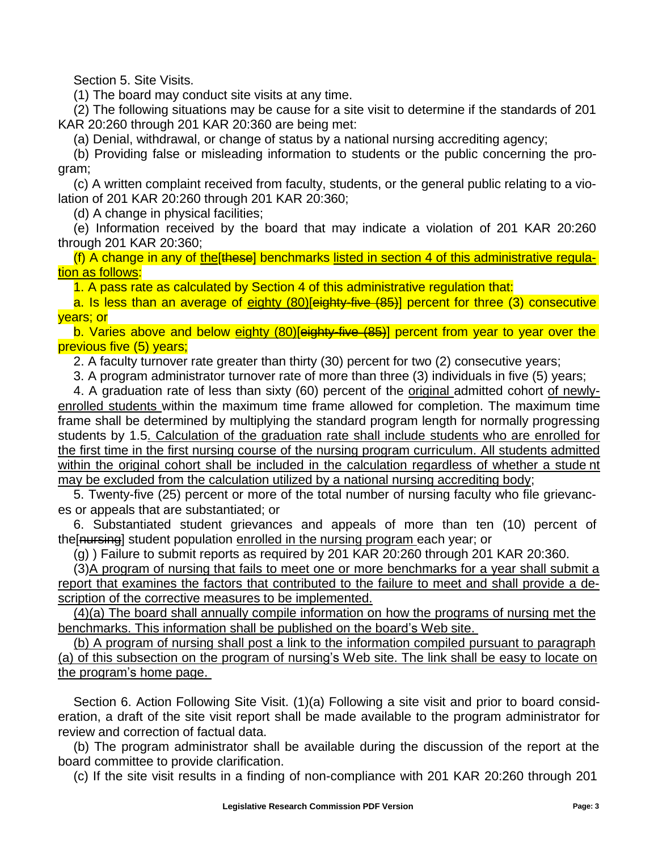Section 5. Site Visits.

(1) The board may conduct site visits at any time.

(2) The following situations may be cause for a site visit to determine if the standards of 201 KAR 20:260 through 201 KAR 20:360 are being met:

(a) Denial, withdrawal, or change of status by a national nursing accrediting agency;

(b) Providing false or misleading information to students or the public concerning the program;

(c) A written complaint received from faculty, students, or the general public relating to a violation of 201 KAR 20:260 through 201 KAR 20:360;

(d) A change in physical facilities;

(e) Information received by the board that may indicate a violation of 201 KAR 20:260 through 201 KAR 20:360;

(f) A change in any of the[these] benchmarks listed in section 4 of this administrative regulation as follows:

1. A pass rate as calculated by Section 4 of this administrative regulation that:

a. Is less than an average of eighty (80)[eighty-five (85)] percent for three (3) consecutive years; or

b. Varies above and below eighty (80)[eighty-five (85)] percent from year to year over the previous five (5) years;

2. A faculty turnover rate greater than thirty (30) percent for two (2) consecutive years;

3. A program administrator turnover rate of more than three (3) individuals in five (5) years;

4. A graduation rate of less than sixty (60) percent of the original admitted cohort of newlyenrolled students within the maximum time frame allowed for completion. The maximum time frame shall be determined by multiplying the standard program length for normally progressing students by 1.5. Calculation of the graduation rate shall include students who are enrolled for the first time in the first nursing course of the nursing program curriculum. All students admitted within the original cohort shall be included in the calculation regardless of whether a stude nt may be excluded from the calculation utilized by a national nursing accrediting body;

5. Twenty-five (25) percent or more of the total number of nursing faculty who file grievances or appeals that are substantiated; or

6. Substantiated student grievances and appeals of more than ten (10) percent of the[nursing] student population enrolled in the nursing program each year; or

(g) ) Failure to submit reports as required by 201 KAR 20:260 through 201 KAR 20:360.

(3)A program of nursing that fails to meet one or more benchmarks for a year shall submit a report that examines the factors that contributed to the failure to meet and shall provide a description of the corrective measures to be implemented.

(4)(a) The board shall annually compile information on how the programs of nursing met the benchmarks. This information shall be published on the board's Web site.

(b) A program of nursing shall post a link to the information compiled pursuant to paragraph (a) of this subsection on the program of nursing's Web site. The link shall be easy to locate on the program's home page.

Section 6. Action Following Site Visit. (1)(a) Following a site visit and prior to board consideration, a draft of the site visit report shall be made available to the program administrator for review and correction of factual data.

(b) The program administrator shall be available during the discussion of the report at the board committee to provide clarification.

(c) If the site visit results in a finding of non-compliance with 201 KAR 20:260 through 201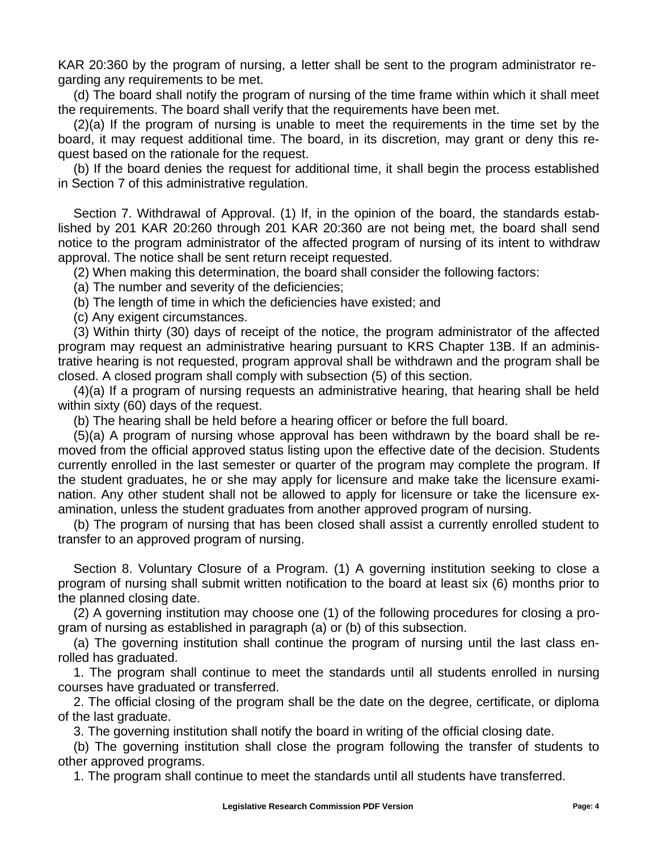KAR 20:360 by the program of nursing, a letter shall be sent to the program administrator regarding any requirements to be met.

(d) The board shall notify the program of nursing of the time frame within which it shall meet the requirements. The board shall verify that the requirements have been met.

(2)(a) If the program of nursing is unable to meet the requirements in the time set by the board, it may request additional time. The board, in its discretion, may grant or deny this request based on the rationale for the request.

(b) If the board denies the request for additional time, it shall begin the process established in Section 7 of this administrative regulation.

Section 7. Withdrawal of Approval. (1) If, in the opinion of the board, the standards established by 201 KAR 20:260 through 201 KAR 20:360 are not being met, the board shall send notice to the program administrator of the affected program of nursing of its intent to withdraw approval. The notice shall be sent return receipt requested.

(2) When making this determination, the board shall consider the following factors:

(a) The number and severity of the deficiencies;

(b) The length of time in which the deficiencies have existed; and

(c) Any exigent circumstances.

(3) Within thirty (30) days of receipt of the notice, the program administrator of the affected program may request an administrative hearing pursuant to KRS Chapter 13B. If an administrative hearing is not requested, program approval shall be withdrawn and the program shall be closed. A closed program shall comply with subsection (5) of this section.

(4)(a) If a program of nursing requests an administrative hearing, that hearing shall be held within sixty (60) days of the request.

(b) The hearing shall be held before a hearing officer or before the full board.

(5)(a) A program of nursing whose approval has been withdrawn by the board shall be removed from the official approved status listing upon the effective date of the decision. Students currently enrolled in the last semester or quarter of the program may complete the program. If the student graduates, he or she may apply for licensure and make take the licensure examination. Any other student shall not be allowed to apply for licensure or take the licensure examination, unless the student graduates from another approved program of nursing.

(b) The program of nursing that has been closed shall assist a currently enrolled student to transfer to an approved program of nursing.

Section 8. Voluntary Closure of a Program. (1) A governing institution seeking to close a program of nursing shall submit written notification to the board at least six (6) months prior to the planned closing date.

(2) A governing institution may choose one (1) of the following procedures for closing a program of nursing as established in paragraph (a) or (b) of this subsection.

(a) The governing institution shall continue the program of nursing until the last class enrolled has graduated.

1. The program shall continue to meet the standards until all students enrolled in nursing courses have graduated or transferred.

2. The official closing of the program shall be the date on the degree, certificate, or diploma of the last graduate.

3. The governing institution shall notify the board in writing of the official closing date.

(b) The governing institution shall close the program following the transfer of students to other approved programs.

1. The program shall continue to meet the standards until all students have transferred.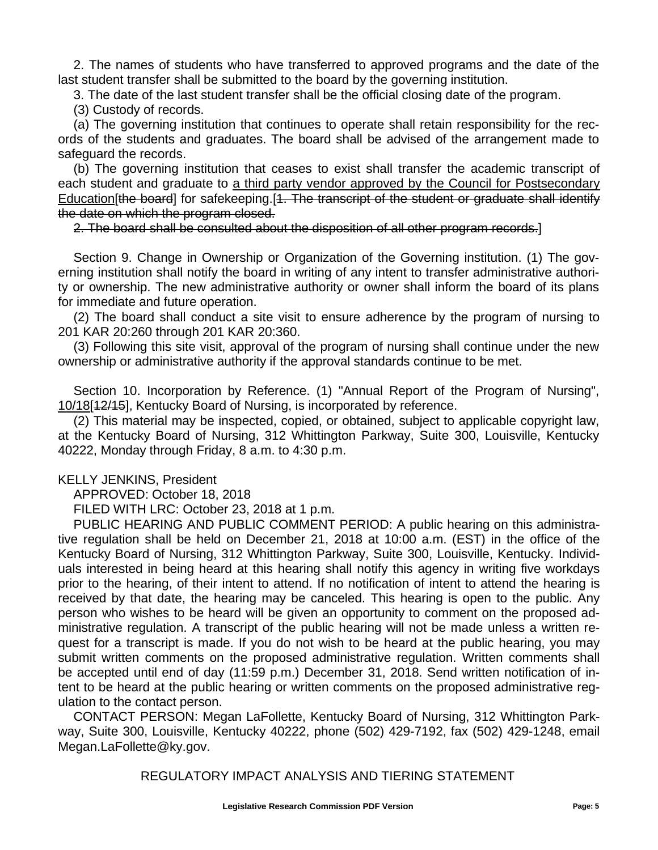2. The names of students who have transferred to approved programs and the date of the last student transfer shall be submitted to the board by the governing institution.

3. The date of the last student transfer shall be the official closing date of the program.

(3) Custody of records.

(a) The governing institution that continues to operate shall retain responsibility for the records of the students and graduates. The board shall be advised of the arrangement made to safeguard the records.

(b) The governing institution that ceases to exist shall transfer the academic transcript of each student and graduate to a third party vendor approved by the Council for Postsecondary Education[the board] for safekeeping.[1. The transcript of the student or graduate shall identify the date on which the program closed.

2. The board shall be consulted about the disposition of all other program records.]

Section 9. Change in Ownership or Organization of the Governing institution. (1) The governing institution shall notify the board in writing of any intent to transfer administrative authority or ownership. The new administrative authority or owner shall inform the board of its plans for immediate and future operation.

(2) The board shall conduct a site visit to ensure adherence by the program of nursing to 201 KAR 20:260 through 201 KAR 20:360.

(3) Following this site visit, approval of the program of nursing shall continue under the new ownership or administrative authority if the approval standards continue to be met.

Section 10. Incorporation by Reference. (1) "Annual Report of the Program of Nursing", 10/18[12/15], Kentucky Board of Nursing, is incorporated by reference.

(2) This material may be inspected, copied, or obtained, subject to applicable copyright law, at the Kentucky Board of Nursing, 312 Whittington Parkway, Suite 300, Louisville, Kentucky 40222, Monday through Friday, 8 a.m. to 4:30 p.m.

## KELLY JENKINS, President

APPROVED: October 18, 2018

FILED WITH LRC: October 23, 2018 at 1 p.m.

PUBLIC HEARING AND PUBLIC COMMENT PERIOD: A public hearing on this administrative regulation shall be held on December 21, 2018 at 10:00 a.m. (EST) in the office of the Kentucky Board of Nursing, 312 Whittington Parkway, Suite 300, Louisville, Kentucky. Individuals interested in being heard at this hearing shall notify this agency in writing five workdays prior to the hearing, of their intent to attend. If no notification of intent to attend the hearing is received by that date, the hearing may be canceled. This hearing is open to the public. Any person who wishes to be heard will be given an opportunity to comment on the proposed administrative regulation. A transcript of the public hearing will not be made unless a written request for a transcript is made. If you do not wish to be heard at the public hearing, you may submit written comments on the proposed administrative regulation. Written comments shall be accepted until end of day (11:59 p.m.) December 31, 2018. Send written notification of intent to be heard at the public hearing or written comments on the proposed administrative regulation to the contact person.

CONTACT PERSON: Megan LaFollette, Kentucky Board of Nursing, 312 Whittington Parkway, Suite 300, Louisville, Kentucky 40222, phone (502) 429-7192, fax (502) 429-1248, emai[l](mailto:Megan.LaFollette@ky.gov) [Megan.LaFollette@ky.gov.](mailto:Megan.LaFollette@ky.gov)

REGULATORY IMPACT ANALYSIS AND TIERING STATEMENT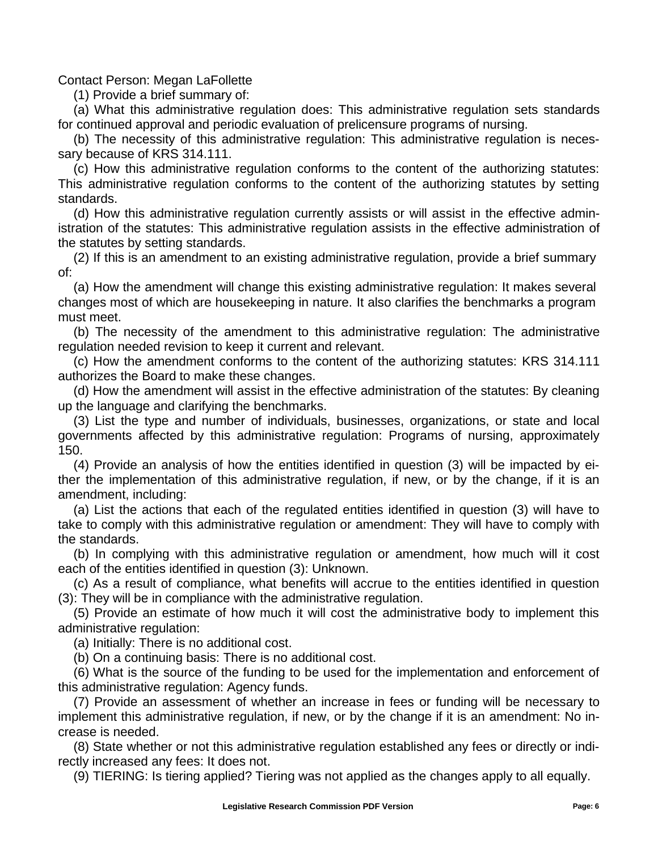Contact Person: Megan LaFollette

(1) Provide a brief summary of:

(a) What this administrative regulation does: This administrative regulation sets standards for continued approval and periodic evaluation of prelicensure programs of nursing.

(b) The necessity of this administrative regulation: This administrative regulation is necessary because of KRS 314.111.

(c) How this administrative regulation conforms to the content of the authorizing statutes: This administrative regulation conforms to the content of the authorizing statutes by setting standards.

(d) How this administrative regulation currently assists or will assist in the effective administration of the statutes: This administrative regulation assists in the effective administration of the statutes by setting standards.

(2) If this is an amendment to an existing administrative regulation, provide a brief summary of:

(a) How the amendment will change this existing administrative regulation: It makes several changes most of which are housekeeping in nature. It also clarifies the benchmarks a program must meet.

(b) The necessity of the amendment to this administrative regulation: The administrative regulation needed revision to keep it current and relevant.

(c) How the amendment conforms to the content of the authorizing statutes: KRS 314.111 authorizes the Board to make these changes.

(d) How the amendment will assist in the effective administration of the statutes: By cleaning up the language and clarifying the benchmarks.

(3) List the type and number of individuals, businesses, organizations, or state and local governments affected by this administrative regulation: Programs of nursing, approximately 150.

(4) Provide an analysis of how the entities identified in question (3) will be impacted by either the implementation of this administrative regulation, if new, or by the change, if it is an amendment, including:

(a) List the actions that each of the regulated entities identified in question (3) will have to take to comply with this administrative regulation or amendment: They will have to comply with the standards.

(b) In complying with this administrative regulation or amendment, how much will it cost each of the entities identified in question (3): Unknown.

(c) As a result of compliance, what benefits will accrue to the entities identified in question (3): They will be in compliance with the administrative regulation.

(5) Provide an estimate of how much it will cost the administrative body to implement this administrative regulation:

(a) Initially: There is no additional cost.

(b) On a continuing basis: There is no additional cost.

(6) What is the source of the funding to be used for the implementation and enforcement of this administrative regulation: Agency funds.

(7) Provide an assessment of whether an increase in fees or funding will be necessary to implement this administrative regulation, if new, or by the change if it is an amendment: No increase is needed.

(8) State whether or not this administrative regulation established any fees or directly or indirectly increased any fees: It does not.

(9) TIERING: Is tiering applied? Tiering was not applied as the changes apply to all equally.